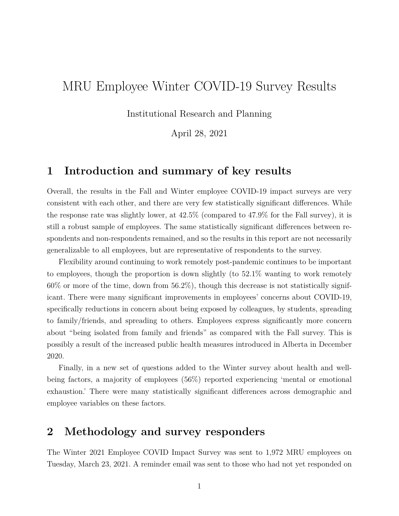# MRU Employee Winter COVID-19 Survey Results

Institutional Research and Planning

April 28, 2021

### **1 Introduction and summary of key results**

Overall, the results in the Fall and Winter employee COVID-19 impact surveys are very consistent with each other, and there are very few statistically significant differences. While the response rate was slightly lower, at 42.5% (compared to 47.9% for the Fall survey), it is still a robust sample of employees. The same statistically significant differences between respondents and non-respondents remained, and so the results in this report are not necessarily generalizable to all employees, but are representative of respondents to the survey.

Flexibility around continuing to work remotely post-pandemic continues to be important to employees, though the proportion is down slightly (to 52.1% wanting to work remotely  $60\%$  or more of the time, down from  $56.2\%$ ), though this decrease is not statistically significant. There were many significant improvements in employees' concerns about COVID-19, specifically reductions in concern about being exposed by colleagues, by students, spreading to family/friends, and spreading to others. Employees express significantly more concern about "being isolated from family and friends" as compared with the Fall survey. This is possibly a result of the increased public health measures introduced in Alberta in December 2020.

Finally, in a new set of questions added to the Winter survey about health and wellbeing factors, a majority of employees (56%) reported experiencing 'mental or emotional exhaustion.' There were many statistically significant differences across demographic and employee variables on these factors.

## **2 Methodology and survey responders**

The Winter 2021 Employee COVID Impact Survey was sent to 1,972 MRU employees on Tuesday, March 23, 2021. A reminder email was sent to those who had not yet responded on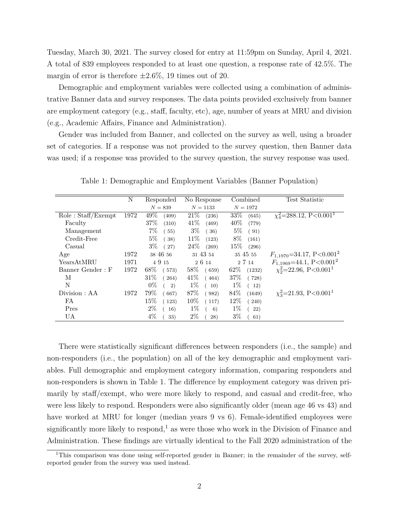Tuesday, March 30, 2021. The survey closed for entry at 11:59pm on Sunday, April 4, 2021. A total of 839 employees responded to at least one question, a response rate of 42.5%. The margin of error is therefore *±*2.6%, 19 times out of 20.

Demographic and employment variables were collected using a combination of administrative Banner data and survey responses. The data points provided exclusively from banner are employment category (e.g., staff, faculty, etc), age, number of years at MRU and division (e.g., Academic Affairs, Finance and Administration).

Gender was included from Banner, and collected on the survey as well, using a broader set of categories. If a response was not provided to the survey question, then Banner data was used; if a response was provided to the survey question, the survey response was used.

|                    | N    | Responded       | No Response                | Combined        | Test Statistic                           |
|--------------------|------|-----------------|----------------------------|-----------------|------------------------------------------|
|                    |      | $N = 839$       | $N = 1133$                 | $N = 1972$      |                                          |
| Role: Staff/Exempt | 1972 | 49%<br>(409)    | 21\%<br>(236)              | 33\%<br>(645)   | $\chi_4^2$ =288.12, P<0.001 <sup>1</sup> |
| Faculty            |      | 37\%<br>(310)   | 41%<br>(469)               | $40\%$<br>(779) |                                          |
| Management         |      | $7\%$<br>55)    | $3\%$<br>$\left(36\right)$ | $5\%$<br>(91)   |                                          |
| Credit-Free        |      | $5\%$<br>(38)   | $11\%$<br>(123)            | 8%<br>(161)     |                                          |
| Casual             |      | $3\%$<br>(27)   | $24\%$<br>(269)            | $15\%$<br>(296) |                                          |
| Age                | 1972 | 38 46 56        | 31 43 54                   | 35 45 55        | $F_{1,1970} = 34.17, P < 0.001^2$        |
| YearsAtMRU         | 1971 | 4915            | 26 14                      | 2 7 14          | $F_{1,1969} = 44.1, P < 0.001^2$         |
| Banner Gender: F   | 1972 | $68\%$<br>(573) | 58%<br>(659)               | $62\%$ (1232)   | $\chi_2^2$ =22.96, P<0.001 <sup>1</sup>  |
| M                  |      | $31\%$<br>(264) | 41\%<br>(464)              | 37%<br>(728)    |                                          |
| N                  |      | $0\%$<br>2)     | $1\%$<br>(10)              | $1\%$<br>(12)   |                                          |
| Division : AA      | 1972 | 79%<br>667)     | 87\%<br>982)               | 84\%<br>(1649)  | $\chi^2$ =21.93, P<0.001 <sup>1</sup>    |
| FA                 |      | $15\%$<br>(123) | $10\%$<br>(117)            | $12\%$<br>(240) |                                          |
| Pres               |      | $2\%$<br>16)    | $1\%$<br>6)                | $1\%$<br>(22)   |                                          |
| UA                 |      | $4\%$<br>33)    | $2\%$<br>28)               | $3\%$<br>61)    |                                          |

Table 1: Demographic and Employment Variables (Banner Population)

There were statistically significant differences between responders (i.e., the sample) and non-responders (i.e., the population) on all of the key demographic and employment variables. Full demographic and employment category information, comparing responders and non-responders is shown in Table 1. The difference by employment category was driven primarily by staff/exempt, who were more likely to respond, and casual and credit-free, who were less likely to respond. Responders were also significantly older (mean age 46 vs 43) and have worked at MRU for longer (median years 9 vs 6). Female-identified employees were significantly more likely to respond,<sup>1</sup> as were those who work in the Division of Finance and Administration. These findings are virtually identical to the Fall 2020 administration of the

<sup>&</sup>lt;sup>1</sup>This comparison was done using self-reported gender in Banner; in the remainder of the survey, selfreported gender from the survey was used instead.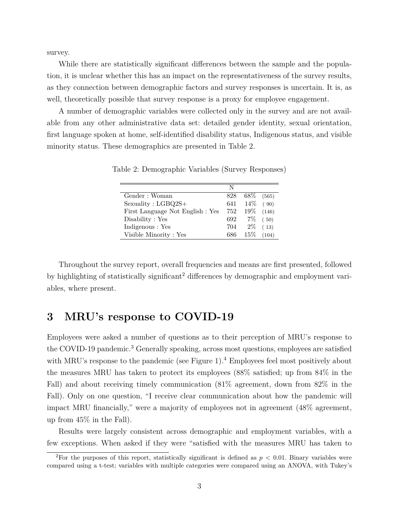survey.

While there are statistically significant differences between the sample and the population, it is unclear whether this has an impact on the representativeness of the survey results, as they connection between demographic factors and survey responses is uncertain. It is, as well, theoretically possible that survey response is a proxy for employee engagement.

A number of demographic variables were collected only in the survey and are not available from any other administrative data set: detailed gender identity, sexual orientation, first language spoken at home, self-identified disability status, Indigenous status, and visible minority status. These demographics are presented in Table 2.

|                                  | N   |                  |       |
|----------------------------------|-----|------------------|-------|
| Gender: Woman                    | 828 | $68\%$           | (565) |
| $Sexuality: LGBQ2S+$             | 641 | $14\%$ (90)      |       |
| First Language Not English : Yes | 752 | $19\%$           | (146) |
| Disability : Yes                 | 692 | $7\%$ (50)       |       |
| Indigenous : Yes                 |     | $704$ $2\%$ (13) |       |
| Visible Minority: Yes            | 686 | $15\%$           | (104) |

Table 2: Demographic Variables (Survey Responses)

Throughout the survey report, overall frequencies and means are first presented, followed by highlighting of statistically significant<sup>2</sup> differences by demographic and employment variables, where present.

### **3 MRU's response to COVID-19**

Employees were asked a number of questions as to their perception of MRU's response to the COVID-19 pandemic.<sup>3</sup> Generally speaking, across most questions, employees are satisfied with MRU's response to the pandemic (see Figure 1).<sup>4</sup> Employees feel most positively about the measures MRU has taken to protect its employees (88% satisfied; up from 84% in the Fall) and about receiving timely communication (81% agreement, down from 82% in the Fall). Only on one question, "I receive clear communication about how the pandemic will impact MRU financially," were a majority of employees not in agreement  $(48\%$  agreement, up from 45% in the Fall).

Results were largely consistent across demographic and employment variables, with a few exceptions. When asked if they were "satisfied with the measures MRU has taken to

<sup>2</sup>For the purposes of this report, statistically significant is defined as *p <* 0*.*01. Binary variables were compared using a t-test; variables with multiple categories were compared using an ANOVA, with Tukey's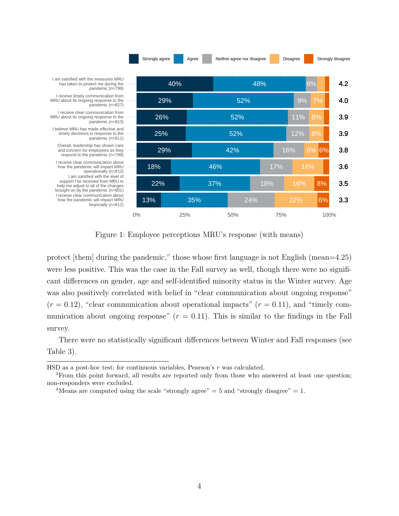

Figure 1: Employee perceptions MRU's response (with means)

protect [them] during the pandemic," those whose first language is not English (mean=4.25) were less positive. This was the case in the Fall survey as well, though there were no significant differences on gender, age and self-identified minority status in the Winter survey. Age was also positively correlated with belief in "clear communication about ongoing response"  $(r = 0.12)$ , "clear communication about operational impacts"  $(r = 0.11)$ , and "timely communication about ongoing response"  $(r = 0.11)$ . This is similar to the findings in the Fall survey.

There were no statistically significant differences between Winter and Fall responses (see Table 3).

HSD as a post-hoc test; for continuous variables, Pearson's *r* was calculated.

<sup>&</sup>lt;sup>3</sup>From this point forward, all results are reported only from those who answered at least one question; non-responders were excluded.

<sup>&</sup>lt;sup>4</sup>Means are computed using the scale "strongly agree"  $= 5$  and "strongly disagree"  $= 1$ .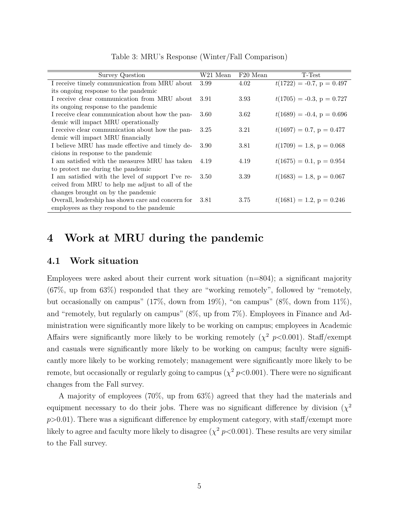| <b>Survey Question</b>                             | W21 Mean | F20 Mean | T-Test                      |
|----------------------------------------------------|----------|----------|-----------------------------|
| I receive timely communication from MRU about      | 3.99     | 4.02     | $t(1722) = -0.7, p = 0.497$ |
| its ongoing response to the pandemic               |          |          |                             |
| I receive clear communication from MRU about       | 3.91     | 3.93     | $t(1705) = -0.3, p = 0.727$ |
| its ongoing response to the pandemic               |          |          |                             |
| I receive clear communication about how the pan-   | 3.60     | 3.62     | $t(1689) = -0.4, p = 0.696$ |
| demic will impact MRU operationally                |          |          |                             |
| I receive clear communication about how the pan-   | 3.25     | 3.21     | $t(1697) = 0.7, p = 0.477$  |
| demic will impact MRU financially                  |          |          |                             |
| I believe MRU has made effective and timely de-    | 3.90     | 3.81     | $t(1709) = 1.8, p = 0.068$  |
| cisions in response to the pandemic                |          |          |                             |
| I am satisfied with the measures MRU has taken     | 4.19     | 4.19     | $t(1675) = 0.1, p = 0.954$  |
| to protect me during the pandemic                  |          |          |                             |
| I am satisfied with the level of support I've re-  | 3.50     | 3.39     | $t(1683) = 1.8, p = 0.067$  |
| ceived from MRU to help me adjust to all of the    |          |          |                             |
| changes brought on by the pandemic                 |          |          |                             |
| Overall, leadership has shown care and concern for | 3.81     | 3.75     | $t(1681) = 1.2, p = 0.246$  |
| employees as they respond to the pandemic          |          |          |                             |
|                                                    |          |          |                             |

Table 3: MRU's Response (Winter/Fall Comparison)

### **4 Work at MRU during the pandemic**

#### **4.1 Work situation**

Employees were asked about their current work situation  $(n=804)$ ; a significant majority (67%, up from 63%) responded that they are "working remotely", followed by "remotely, but occasionally on campus" (17%, down from 19%), "on campus" (8%, down from 11%), and "remotely, but regularly on campus" (8%, up from 7%). Employees in Finance and Administration were significantly more likely to be working on campus; employees in Academic Affairs were significantly more likely to be working remotely  $(\chi^2 \ p<0.001)$ . Staff/exempt and casuals were significantly more likely to be working on campus; faculty were significantly more likely to be working remotely; management were significantly more likely to be remote, but occasionally or regularly going to campus  $(\chi^2 \, p< 0.001)$ . There were no significant changes from the Fall survey.

A majority of employees (70%, up from 63%) agreed that they had the materials and equipment necessary to do their jobs. There was no significant difference by division  $(\chi^2)$  $p>0.01$ ). There was a significant difference by employment category, with staff/exempt more likely to agree and faculty more likely to disagree ( $\chi^2$  *p*<0.001). These results are very similar to the Fall survey.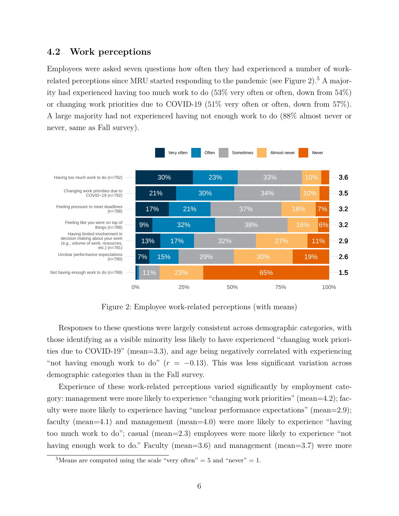#### **4.2 Work perceptions**

Employees were asked seven questions how often they had experienced a number of workrelated perceptions since MRU started responding to the pandemic (see Figure 2).<sup>5</sup> A majority had experienced having too much work to do (53% very often or often, down from 54%) or changing work priorities due to COVID-19 (51% very often or often, down from 57%). A large majority had not experienced having not enough work to do (88% almost never or never, same as Fall survey).



Figure 2: Employee work-related perceptions (with means)

Responses to these questions were largely consistent across demographic categories, with those identifying as a visible minority less likely to have experienced "changing work priorities due to COVID-19" (mean=3.3), and age being negatively correlated with experiencing "not having enough work to do"  $(r = -0.13)$ . This was less significant variation across demographic categories than in the Fall survey.

Experience of these work-related perceptions varied significantly by employment category: management were more likely to experience "changing work priorities" (mean=4.2); faculty were more likely to experience having "unclear performance expectations" (mean=2.9); faculty (mean=4.1) and management (mean=4.0) were more likely to experience "having too much work to do"; casual (mean=2.3) employees were more likely to experience "not having enough work to do." Faculty (mean=3.6) and management (mean=3.7) were more

<sup>&</sup>lt;sup>5</sup>Means are computed using the scale "very often"  $=$  5 and "never"  $=$  1.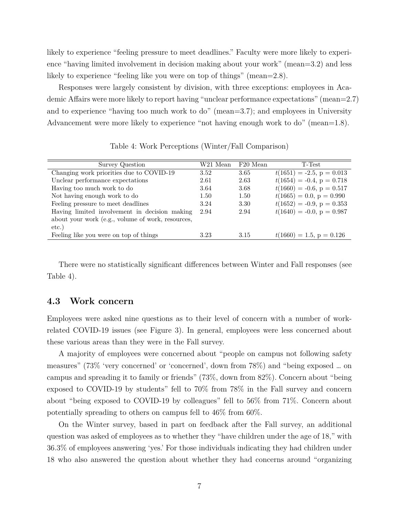likely to experience "feeling pressure to meet deadlines." Faculty were more likely to experience "having limited involvement in decision making about your work" (mean=3.2) and less likely to experience "feeling like you were on top of things" (mean=2.8).

Responses were largely consistent by division, with three exceptions: employees in Academic Affairs were more likely to report having "unclear performance expectations" (mean=2.7) and to experience "having too much work to do" (mean=3.7); and employees in University Advancement were more likely to experience "not having enough work to do" (mean=1.8).

| Survey Question                                   | W21 Mean | F <sub>20</sub> Mean | T-Test                      |
|---------------------------------------------------|----------|----------------------|-----------------------------|
| Changing work priorities due to COVID-19          | 3.52     | 3.65                 | $t(1651) = -2.5, p = 0.013$ |
| Unclear performance expectations                  | 2.61     | 2.63                 | $t(1654) = -0.4, p = 0.718$ |
| Having too much work to do                        | 3.64     | 3.68                 | $t(1660) = -0.6, p = 0.517$ |
| Not having enough work to do                      | 1.50     | 1.50                 | $t(1665) = 0.0, p = 0.990$  |
| Feeling pressure to meet deadlines                | 3.24     | 3.30                 | $t(1652) = -0.9, p = 0.353$ |
| Having limited involvement in decision making     | 2.94     | 2.94                 | $t(1640) = -0.0, p = 0.987$ |
| about your work (e.g., volume of work, resources, |          |                      |                             |
| $etc.$ )                                          |          |                      |                             |
| Feeling like you were on top of things            | 3.23     | 3.15                 | $t(1660) = 1.5, p = 0.126$  |

Table 4: Work Perceptions (Winter/Fall Comparison)

There were no statistically significant differences between Winter and Fall responses (see Table 4).

#### **4.3 Work concern**

Employees were asked nine questions as to their level of concern with a number of workrelated COVID-19 issues (see Figure 3). In general, employees were less concerned about these various areas than they were in the Fall survey.

A majority of employees were concerned about "people on campus not following safety measures" (73% 'very concerned' or 'concerned', down from 78%) and "being exposed … on campus and spreading it to family or friends" (73%, down from 82%). Concern about "being exposed to COVID-19 by students" fell to 70% from 78% in the Fall survey and concern about "being exposed to COVID-19 by colleagues" fell to 56% from 71%. Concern about potentially spreading to others on campus fell to 46% from 60%.

On the Winter survey, based in part on feedback after the Fall survey, an additional question was asked of employees as to whether they "have children under the age of 18," with 36.3% of employees answering 'yes.' For those individuals indicating they had children under 18 who also answered the question about whether they had concerns around "organizing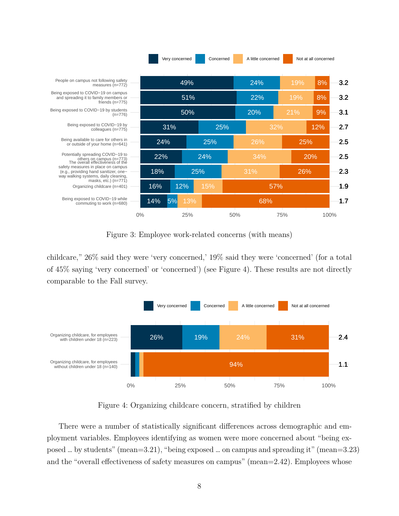

Figure 3: Employee work-related concerns (with means)

childcare," 26% said they were 'very concerned,' 19% said they were 'concerned' (for a total of 45% saying 'very concerned' or 'concerned') (see Figure 4). These results are not directly comparable to the Fall survey.



Figure 4: Organizing childcare concern, stratified by children

There were a number of statistically significant differences across demographic and employment variables. Employees identifying as women were more concerned about "being exposed … by students" (mean=3.21), "being exposed … on campus and spreading it" (mean=3.23) and the "overall effectiveness of safety measures on campus" (mean=2.42). Employees whose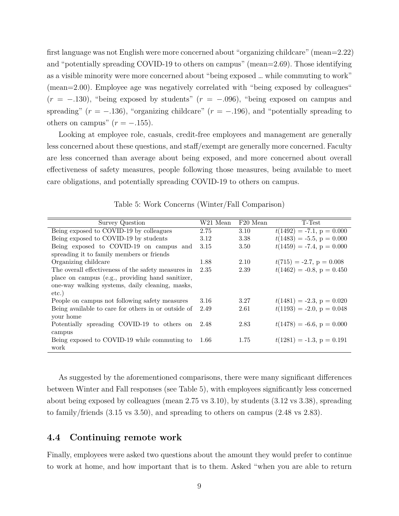first language was not English were more concerned about "organizing childcare" (mean=2.22) and "potentially spreading COVID-19 to others on campus" (mean=2.69). Those identifying as a visible minority were more concerned about "being exposed … while commuting to work" (mean=2.00). Employee age was negatively correlated with "being exposed by colleagues" (*r* = *−.*130), "being exposed by students" (*r* = *−.*096), "being exposed on campus and spreading"  $(r = -0.136)$ , "organizing childcare"  $(r = -0.196)$ , and "potentially spreading to others on campus"  $(r = -.155)$ .

Looking at employee role, casuals, credit-free employees and management are generally less concerned about these questions, and staff/exempt are generally more concerned. Faculty are less concerned than average about being exposed, and more concerned about overall effectiveness of safety measures, people following those measures, being available to meet care obligations, and potentially spreading COVID-19 to others on campus.

| W21 Mean | F <sub>20</sub> Mean | T-Test                       |
|----------|----------------------|------------------------------|
| 2.75     | 3.10                 | $t(1492) = -7.1, p = 0.000$  |
| 3.12     | 3.38                 | $t(1483) = -5.5, p = 0.000$  |
| 3.15     | 3.50                 | $t(1459) = -7.4, p = 0.000$  |
|          |                      |                              |
| 1.88     | 2.10                 | $t(715) = -2.7, p = 0.008$   |
| 2.35     | 2.39                 | $t(1462) = -0.8$ , p = 0.450 |
|          |                      |                              |
|          |                      |                              |
|          |                      |                              |
| 3.16     | 3.27                 | $t(1481) = -2.3, p = 0.020$  |
| 2.49     | 2.61                 | $t(1193) = -2.0, p = 0.048$  |
|          |                      |                              |
| 2.48     | 2.83                 | $t(1478) = -6.6, p = 0.000$  |
|          |                      |                              |
| 1.66     | 1.75                 | $t(1281) = -1.3$ , p = 0.191 |
|          |                      |                              |
|          |                      |                              |

Table 5: Work Concerns (Winter/Fall Comparison)

As suggested by the aforementioned comparisons, there were many significant differences between Winter and Fall responses (see Table 5), with employees significantly less concerned about being exposed by colleagues (mean 2.75 vs 3.10), by students (3.12 vs 3.38), spreading to family/friends (3.15 vs 3.50), and spreading to others on campus (2.48 vs 2.83).

#### **4.4 Continuing remote work**

Finally, employees were asked two questions about the amount they would prefer to continue to work at home, and how important that is to them. Asked "when you are able to return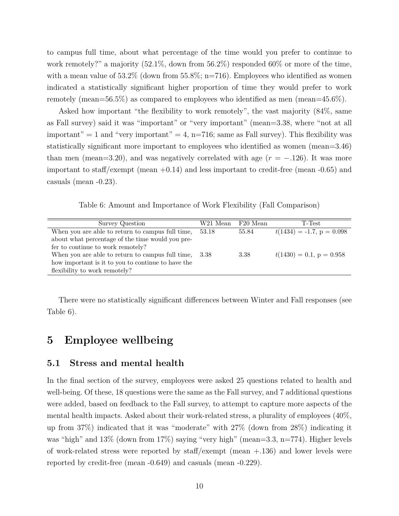to campus full time, about what percentage of the time would you prefer to continue to work remotely?" a majority (52.1%, down from 56.2%) responded 60% or more of the time, with a mean value of  $53.2\%$  (down from  $55.8\%$ ; n=716). Employees who identified as women indicated a statistically significant higher proportion of time they would prefer to work remotely (mean=56.5%) as compared to employees who identified as men (mean=45.6%).

Asked how important "the flexibility to work remotely", the vast majority (84%, same as Fall survey) said it was "important" or "very important" (mean=3.38, where "not at all important" = 1 and "very important" = 4, n=716; same as Fall survey). This flexibility was statistically significant more important to employees who identified as women (mean=3.46) than men (mean=3.20), and was negatively correlated with age  $(r = -0.126)$ . It was more important to staff/exempt (mean  $+0.14$ ) and less important to credit-free (mean  $-0.65$ ) and casuals (mean -0.23).

Table 6: Amount and Importance of Work Flexibility (Fall Comparison)

| Survey Question                                    | W21 Mean | F20 Mean | T-Test                      |
|----------------------------------------------------|----------|----------|-----------------------------|
| When you are able to return to campus full time,   | 53.18    | 55.84    | $t(1434) = -1.7, p = 0.098$ |
| about what percentage of the time would you pre-   |          |          |                             |
| fer to continue to work remotely?                  |          |          |                             |
| When you are able to return to campus full time,   | 3.38     | 3.38     | $t(1430) = 0.1, p = 0.958$  |
| how important is it to you to continue to have the |          |          |                             |
| flexibility to work remotely?                      |          |          |                             |

There were no statistically significant differences between Winter and Fall responses (see Table 6).

### **5 Employee wellbeing**

#### **5.1 Stress and mental health**

In the final section of the survey, employees were asked 25 questions related to health and well-being. Of these, 18 questions were the same as the Fall survey, and 7 additional questions were added, based on feedback to the Fall survey, to attempt to capture more aspects of the mental health impacts. Asked about their work-related stress, a plurality of employees (40%, up from 37%) indicated that it was "moderate" with 27% (down from 28%) indicating it was "high" and 13% (down from 17%) saying "very high" (mean=3.3, n=774). Higher levels of work-related stress were reported by staff/exempt (mean +.136) and lower levels were reported by credit-free (mean -0.649) and casuals (mean -0.229).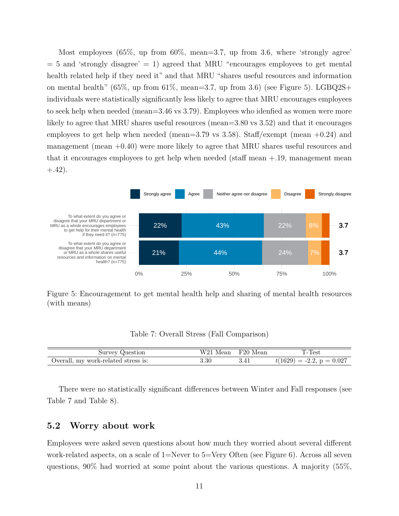Most employees (65%, up from 60%, mean=3.7, up from 3.6, where 'strongly agree'  $= 5$  and 'strongly disagree'  $= 1$ ) agreed that MRU "encourages employees to get mental health related help if they need it" and that MRU "shares useful resources and information on mental health" (65%, up from 61%, mean=3.7, up from 3.6) (see Figure 5). LGBQ2S+ individuals were statistically significantly less likely to agree that MRU encourages employees to seek help when needed (mean=3.46 vs 3.79). Employees who idenfied as women were more likely to agree that MRU shares useful resources (mean=3.80 vs 3.52) and that it encourages employees to get help when needed (mean=3.79 vs 3.58). Staff/exempt (mean  $+0.24$ ) and management (mean  $+0.40$ ) were more likely to agree that MRU shares useful resources and that it encourages employees to get help when needed (staff mean  $+1.9$ , management mean  $(+.42).$ 



Figure 5: Encouragement to get mental health help and sharing of mental health resources (with means)

Table 7: Overall Stress (Fall Comparison)

| Survey Question                     | W21 Mean F20 Mean | T-Test                      |
|-------------------------------------|-------------------|-----------------------------|
| Overall, my work-related stress is: | 3.30              | $t(1629) = -2.2, p = 0.027$ |

There were no statistically significant differences between Winter and Fall responses (see Table 7 and Table 8).

#### **5.2 Worry about work**

Employees were asked seven questions about how much they worried about several different work-related aspects, on a scale of 1=Never to 5=Very Often (see Figure 6). Across all seven questions, 90% had worried at some point about the various questions. A majority (55%,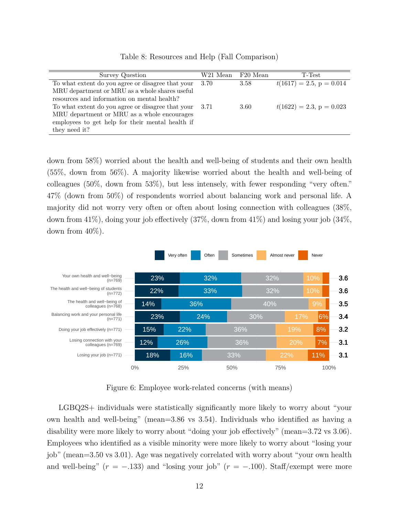| Survey Question                                   | W21 Mean | F20 Mean | T-Test                     |
|---------------------------------------------------|----------|----------|----------------------------|
| To what extent do you agree or disagree that your | 3.70     | 3.58     | $t(1617) = 2.5, p = 0.014$ |
| MRU department or MRU as a whole shares useful    |          |          |                            |
| resources and information on mental health?       |          |          |                            |
| To what extent do you agree or disagree that your | -3.71    | 3.60     | $t(1622) = 2.3, p = 0.023$ |
| MRU department or MRU as a whole encourages       |          |          |                            |
| employees to get help for their mental health if  |          |          |                            |
| they need it?                                     |          |          |                            |
|                                                   |          |          |                            |

Table 8: Resources and Help (Fall Comparison)

down from 58%) worried about the health and well-being of students and their own health (55%, down from 56%). A majority likewise worried about the health and well-being of colleagues (50%, down from 53%), but less intensely, with fewer responding "very often." 47% (down from 50%) of respondents worried about balancing work and personal life. A majority did not worry very often or often about losing connection with colleagues (38%, down from  $41\%$ ), doing your job effectively  $(37\%$ , down from  $41\%$ ) and losing your job  $(34\%$ , down from  $40\%$ ).



Figure 6: Employee work-related concerns (with means)

LGBQ2S+ individuals were statistically significantly more likely to worry about "your own health and well-being" (mean=3.86 vs 3.54). Individuals who identified as having a disability were more likely to worry about "doing your job effectively" (mean=3.72 vs 3.06). Employees who identified as a visible minority were more likely to worry about "losing your job" (mean=3.50 vs 3.01). Age was negatively correlated with worry about "your own health and well-being"  $(r = -.133)$  and "losing your job"  $(r = -.100)$ . Staff/exempt were more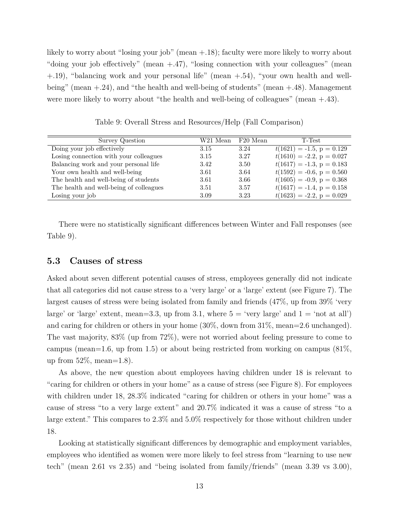likely to worry about "losing your job" (mean +.18); faculty were more likely to worry about "doing your job effectively" (mean +.47), "losing connection with your colleagues" (mean +.19), "balancing work and your personal life" (mean +.54), "your own health and wellbeing" (mean  $+24$ ), and "the health and well-being of students" (mean  $+48$ ). Management were more likely to worry about "the health and well-being of colleagues" (mean +.43).

| Survey Question                         | W21 Mean | F20 Mean | T-Test                      |
|-----------------------------------------|----------|----------|-----------------------------|
| Doing your job effectively              | 3.15     | 3.24     | $t(1621) = -1.5, p = 0.129$ |
| Losing connection with your colleagues  | 3.15     | 3.27     | $t(1610) = -2.2, p = 0.027$ |
| Balancing work and your personal life   | 3.42     | 3.50     | $t(1617) = -1.3, p = 0.183$ |
| Your own health and well-being          | 3.61     | 3.64     | $t(1592) = -0.6, p = 0.560$ |
| The health and well-being of students   | 3.61     | 3.66     | $t(1605) = -0.9, p = 0.368$ |
| The health and well-being of colleagues | 3.51     | 3.57     | $t(1617) = -1.4, p = 0.158$ |
| Losing your job                         | 3.09     | 3.23     | $t(1623) = -2.2, p = 0.029$ |

Table 9: Overall Stress and Resources/Help (Fall Comparison)

There were no statistically significant differences between Winter and Fall responses (see Table 9).

#### **5.3 Causes of stress**

Asked about seven different potential causes of stress, employees generally did not indicate that all categories did not cause stress to a 'very large' or a 'large' extent (see Figure 7). The largest causes of stress were being isolated from family and friends (47%, up from 39% 'very large' or 'large' extent, mean=3.3, up from 3.1, where  $5 =$  'very large' and  $1 =$  'not at all') and caring for children or others in your home (30%, down from 31%, mean=2.6 unchanged). The vast majority, 83% (up from 72%), were not worried about feeling pressure to come to campus (mean=1.6, up from 1.5) or about being restricted from working on campus (81%, up from  $52\%$ , mean=1.8).

As above, the new question about employees having children under 18 is relevant to "caring for children or others in your home" as a cause of stress (see Figure 8). For employees with children under 18, 28.3% indicated "caring for children or others in your home" was a cause of stress "to a very large extent" and 20.7% indicated it was a cause of stress "to a large extent." This compares to 2.3% and 5.0% respectively for those without children under 18.

Looking at statistically significant differences by demographic and employment variables, employees who identified as women were more likely to feel stress from "learning to use new tech" (mean 2.61 vs 2.35) and "being isolated from family/friends" (mean 3.39 vs 3.00),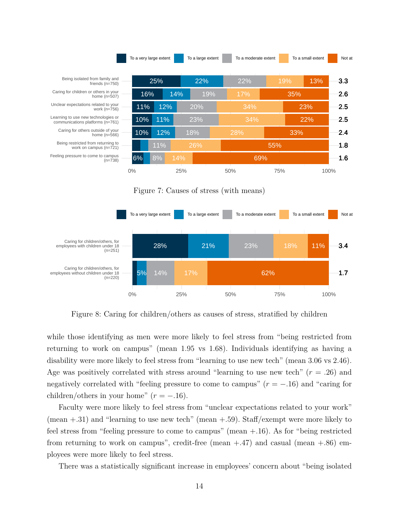

Figure 7: Causes of stress (with means)



Figure 8: Caring for children/others as causes of stress, stratified by children

while those identifying as men were more likely to feel stress from "being restricted from returning to work on campus" (mean 1.95 vs 1.68). Individuals identifying as having a disability were more likely to feel stress from "learning to use new tech" (mean 3.06 vs 2.46). Age was positively correlated with stress around "learning to use new tech" (*r* = *.*26) and negatively correlated with "feeling pressure to come to campus"  $(r = -0.16)$  and "caring for children/others in your home"  $(r = -0.16)$ .

Faculty were more likely to feel stress from "unclear expectations related to your work" (mean  $+0.31$ ) and "learning to use new tech" (mean  $+0.59$ ). Staff/exempt were more likely to feel stress from "feeling pressure to come to campus" (mean +.16). As for "being restricted from returning to work on campus", credit-free (mean  $+.47$ ) and casual (mean  $+.86$ ) employees were more likely to feel stress.

There was a statistically significant increase in employees' concern about "being isolated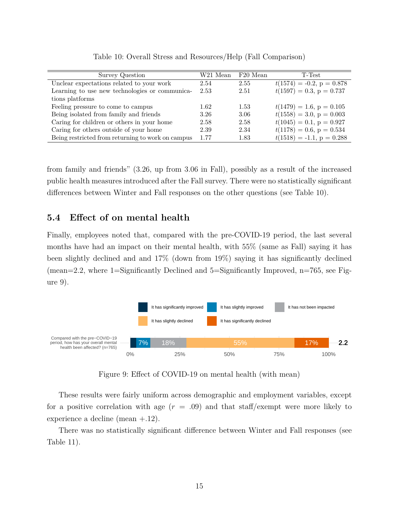| Survey Question                                   | W21 Mean | F20 Mean | T-Test                      |
|---------------------------------------------------|----------|----------|-----------------------------|
| Unclear expectations related to your work         | 2.54     | 2.55     | $t(1574) = -0.2, p = 0.878$ |
| Learning to use new technologies or communica-    | 2.53     | 2.51     | $t(1597) = 0.3, p = 0.737$  |
| tions platforms                                   |          |          |                             |
| Feeling pressure to come to campus                | 1.62     | 1.53     | $t(1479) = 1.6, p = 0.105$  |
| Being isolated from family and friends            | 3.26     | 3.06     | $t(1558) = 3.0, p = 0.003$  |
| Caring for children or others in your home        | 2.58     | 2.58     | $t(1045) = 0.1, p = 0.927$  |
| Caring for others outside of your home            | 2.39     | 2.34     | $t(1178) = 0.6, p = 0.534$  |
| Being restricted from returning to work on campus | 1.77     | 1.83     | $t(1518) = -1.1, p = 0.288$ |

Table 10: Overall Stress and Resources/Help (Fall Comparison)

from family and friends" (3.26, up from 3.06 in Fall), possibly as a result of the increased public health measures introduced after the Fall survey. There were no statistically significant differences between Winter and Fall responses on the other questions (see Table 10).

#### **5.4 Effect of on mental health**

Finally, employees noted that, compared with the pre-COVID-19 period, the last several months have had an impact on their mental health, with 55% (same as Fall) saying it has been slightly declined and and 17% (down from 19%) saying it has significantly declined (mean=2.2, where 1=Significantly Declined and 5=Significantly Improved, n=765, see Figure 9).



Figure 9: Effect of COVID-19 on mental health (with mean)

These results were fairly uniform across demographic and employment variables, except for a positive correlation with age  $(r = .09)$  and that staff/exempt were more likely to experience a decline (mean +.12).

There was no statistically significant difference between Winter and Fall responses (see Table 11).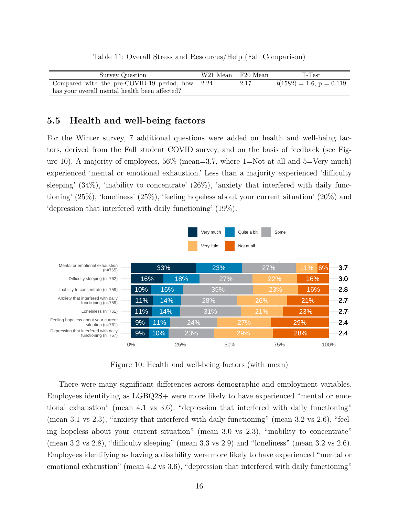| Survey Question                                   | W21 Mean F20 Mean |      | T-Test                     |
|---------------------------------------------------|-------------------|------|----------------------------|
| Compared with the pre-COVID-19 period, how $2.24$ |                   | 2.17 | $t(1582) = 1.6, p = 0.119$ |
| has your overall mental health been affected?     |                   |      |                            |

#### Table 11: Overall Stress and Resources/Help (Fall Comparison)

#### **5.5 Health and well-being factors**

 $\equiv$ 

For the Winter survey, 7 additional questions were added on health and well-being factors, derived from the Fall student COVID survey, and on the basis of feedback (see Figure 10). A majority of employees,  $56\%$  (mean=3.7, where 1=Not at all and 5=Very much) experienced 'mental or emotional exhaustion.' Less than a majority experienced 'difficulty sleeping'  $(34\%)$ , 'inability to concentrate'  $(26\%)$ , 'anxiety that interfered with daily functioning' (25%), 'loneliness' (25%), 'feeling hopeless about your current situation' (20%) and 'depression that interfered with daily functioning' (19%).



Figure 10: Health and well-being factors (with mean)

There were many significant differences across demographic and employment variables. Employees identifying as LGBQ2S+ were more likely to have experienced "mental or emotional exhaustion" (mean 4.1 vs 3.6), "depression that interfered with daily functioning" (mean 3.1 vs 2.3), "anxiety that interfered with daily functioning" (mean 3.2 vs 2.6), "feeling hopeless about your current situation" (mean 3.0 vs 2.3), "inability to concentrate" (mean 3.2 vs 2.8), "difficulty sleeping" (mean 3.3 vs 2.9) and "loneliness" (mean 3.2 vs 2.6). Employees identifying as having a disability were more likely to have experienced "mental or emotional exhaustion" (mean 4.2 vs 3.6), "depression that interfered with daily functioning"